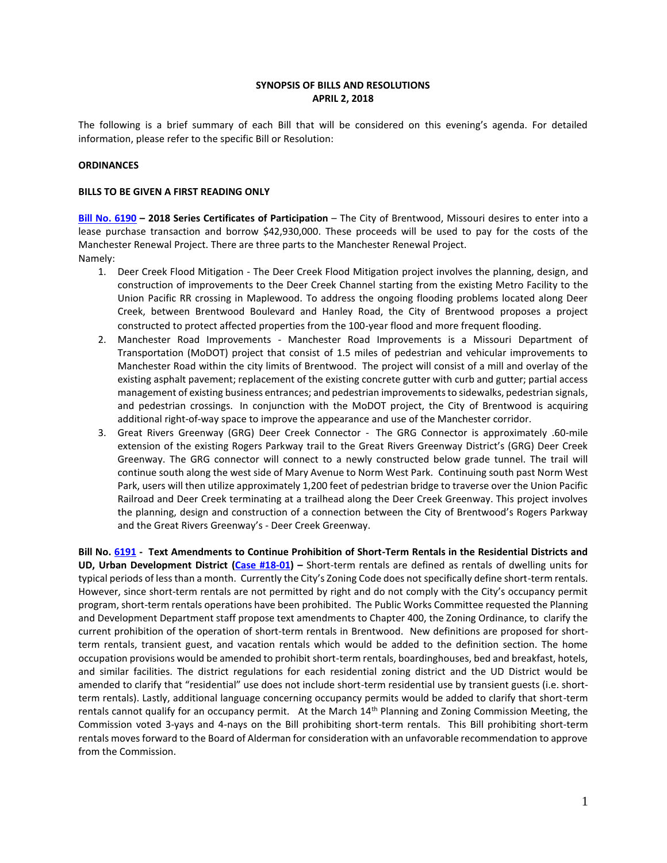# **SYNOPSIS OF BILLS AND RESOLUTIONS APRIL 2, 2018**

The following is a brief summary of each Bill that will be considered on this evening's agenda. For detailed information, please refer to the specific Bill or Resolution:

## **ORDINANCES**

### **BILLS TO BE GIVEN A FIRST READING ONLY**

**[Bill No. 6190](http://www.brentwoodmo.org/DocumentCenter/View/22893) – 2018 Series Certificates of Participation** – The City of Brentwood, Missouri desires to enter into a lease purchase transaction and borrow \$42,930,000. These proceeds will be used to pay for the costs of the Manchester Renewal Project. There are three parts to the Manchester Renewal Project. Namely:

- 1. Deer Creek Flood Mitigation The Deer Creek Flood Mitigation project involves the planning, design, and construction of improvements to the Deer Creek Channel starting from the existing Metro Facility to the Union Pacific RR crossing in Maplewood. To address the ongoing flooding problems located along Deer Creek, between Brentwood Boulevard and Hanley Road, the City of Brentwood proposes a project constructed to protect affected properties from the 100-year flood and more frequent flooding.
- 2. Manchester Road Improvements Manchester Road Improvements is a Missouri Department of Transportation (MoDOT) project that consist of 1.5 miles of pedestrian and vehicular improvements to Manchester Road within the city limits of Brentwood. The project will consist of a mill and overlay of the existing asphalt pavement; replacement of the existing concrete gutter with curb and gutter; partial access management of existing business entrances; and pedestrian improvements to sidewalks, pedestrian signals, and pedestrian crossings. In conjunction with the MoDOT project, the City of Brentwood is acquiring additional right-of-way space to improve the appearance and use of the Manchester corridor.
- 3. Great Rivers Greenway (GRG) Deer Creek Connector The GRG Connector is approximately .60-mile extension of the existing Rogers Parkway trail to the Great Rivers Greenway District's (GRG) Deer Creek Greenway. The GRG connector will connect to a newly constructed below grade tunnel. The trail will continue south along the west side of Mary Avenue to Norm West Park. Continuing south past Norm West Park, users will then utilize approximately 1,200 feet of pedestrian bridge to traverse over the Union Pacific Railroad and Deer Creek terminating at a trailhead along the Deer Creek Greenway. This project involves the planning, design and construction of a connection between the City of Brentwood's Rogers Parkway and the Great Rivers Greenway's - Deer Creek Greenway.

**Bill No. [6191](http://www.brentwoodmo.org/DocumentCenter/View/22872) - Text Amendments to Continue Prohibition of Short-Term Rentals in the Residential Districts and UD, Urban Development District [\(Case #18-01\)](http://www.brentwoodmo.org/DocumentCenter/View/22873) –** Short-term rentals are defined as rentals of dwelling units for typical periods of less than a month. Currently the City's Zoning Code does not specifically define short-term rentals. However, since short-term rentals are not permitted by right and do not comply with the City's occupancy permit program, short-term rentals operations have been prohibited. The Public Works Committee requested the Planning and Development Department staff propose text amendments to Chapter 400, the Zoning Ordinance, to clarify the current prohibition of the operation of short-term rentals in Brentwood. New definitions are proposed for shortterm rentals, transient guest, and vacation rentals which would be added to the definition section. The home occupation provisions would be amended to prohibit short-term rentals, boardinghouses, bed and breakfast, hotels, and similar facilities. The district regulations for each residential zoning district and the UD District would be amended to clarify that "residential" use does not include short-term residential use by transient guests (i.e. shortterm rentals). Lastly, additional language concerning occupancy permits would be added to clarify that short-term rentals cannot qualify for an occupancy permit. At the March  $14<sup>th</sup>$  Planning and Zoning Commission Meeting, the Commission voted 3-yays and 4-nays on the Bill prohibiting short-term rentals. This Bill prohibiting short-term rentals moves forward to the Board of Alderman for consideration with an unfavorable recommendation to approve from the Commission.